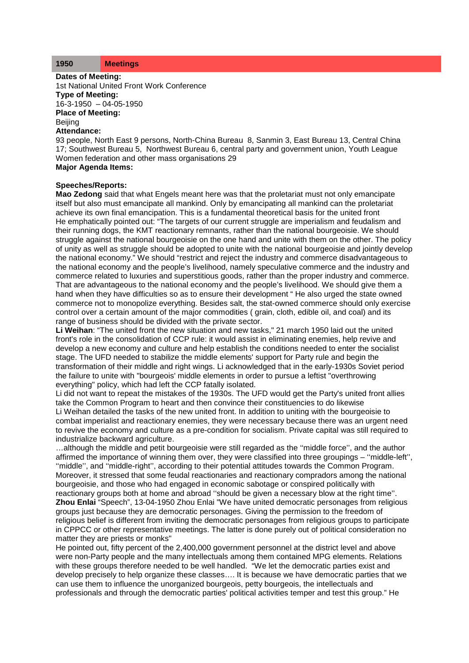## **1950 Meetings**

**Dates of Meeting:**

1st National United Front Work Conference **Type of Meeting:** 16-3-1950 – 04-05-1950 **Place of Meeting: Beijing Attendance:**

93 people, North East 9 persons, North-China Bureau 8, Sanmin 3, East Bureau 13, Central China 17; Southwest Bureau 5, Northwest Bureau 6, central party and government union, Youth League Women federation and other mass organisations 29 **Major Agenda Items:**

## **Speeches/Reports:**

**Mao Zedong** said that what Engels meant here was that the proletariat must not only emancipate itself but also must emancipate all mankind. Only by emancipating all mankind can the proletariat achieve its own final emancipation. This is a fundamental theoretical basis for the united front He emphatically pointed out: "The targets of our current struggle are imperialism and feudalism and their running dogs, the KMT reactionary remnants, rather than the national bourgeoisie. We should struggle against the national bourgeoisie on the one hand and unite with them on the other. The policy of unity as well as struggle should be adopted to unite with the national bourgeoisie and jointly develop the national economy." We should "restrict and reject the industry and commerce disadvantageous to the national economy and the people's livelihood, namely speculative commerce and the industry and commerce related to luxuries and superstitious goods, rather than the proper industry and commerce. That are advantageous to the national economy and the people's livelihood. We should give them a hand when they have difficulties so as to ensure their development " He also urged the state owned commerce not to monopolize everything. Besides salt, the stat-owned commerce should only exercise control over a certain amount of the major commodities ( grain, cloth, edible oil, and coal) and its range of business should be divided with the private sector.

**Li Weihan**: "The united front the new situation and new tasks," 21 march 1950 laid out the united front's role in the consolidation of CCP rule: it would assist in eliminating enemies, help revive and develop a new economy and culture and help establish the conditions needed to enter the socialist stage. The UFD needed to stabilize the middle elements' support for Party rule and begin the transformation of their middle and right wings. Li acknowledged that in the early-1930s Soviet period the failure to unite with "bourgeois' middle elements in order to pursue a leftist "overthrowing everything" policy, which had left the CCP fatally isolated.

Li did not want to repeat the mistakes of the 1930s. The UFD would get the Party's united front allies take the Common Program to heart and then convince their constituencies to do likewise Li Weihan detailed the tasks of the new united front. In addition to uniting with the bourgeoisie to combat imperialist and reactionary enemies, they were necessary because there was an urgent need to revive the economy and culture as a pre-condition for socialism. Private capital was still required to industrialize backward agriculture.

…although the middle and petit bourgeoisie were still regarded as the ''middle force'', and the author affirmed the importance of winning them over, they were classified into three groupings – ''middle-left'', ''middle'', and ''middle-right'', according to their potential attitudes towards the Common Program. Moreover, it stressed that some feudal reactionaries and reactionary compradors among the national bourgeoisie, and those who had engaged in economic sabotage or conspired politically with reactionary groups both at home and abroad ''should be given a necessary blow at the right time''. **Zhou Enlai** "Speech", 13-04-1950 Zhou Enlai "We have united democratic personages from religious groups just because they are democratic personages. Giving the permission to the freedom of religious belief is different from inviting the democratic personages from religious groups to participate in CPPCC or other representative meetings. The latter is done purely out of political consideration no matter they are priests or monks"

He pointed out, fifty percent of the 2,400,000 government personnel at the district level and above were non-Party people and the many intellectuals among them contained MPG elements. Relations with these groups therefore needed to be well handled. "We let the democratic parties exist and develop precisely to help organize these classes…. It is because we have democratic parties that we can use them to influence the unorganized bourgeois, petty bourgeois, the intellectuals and professionals and through the democratic parties' political activities temper and test this group." He